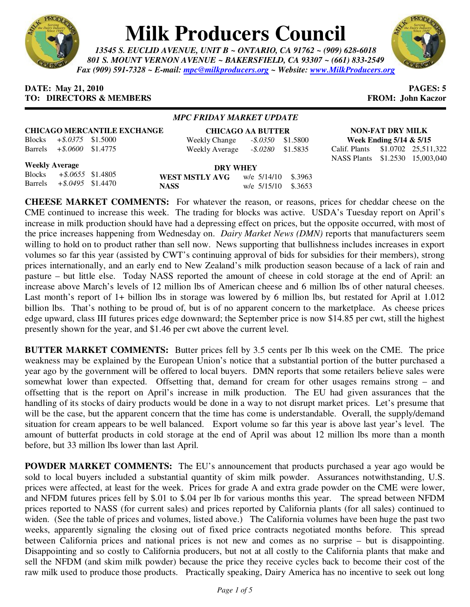

# **Milk Producers Council**

*13545 S. EUCLID AVENUE, UNIT B ~ ONTARIO, CA 91762 ~ (909) 628-6018 801 S. MOUNT VERNON AVENUE ~ BAKERSFIELD, CA 93307 ~ (661) 833-2549 Fax (909) 591-7328 ~ E-mail: mpc@milkproducers.org ~ Website: www.MilkProducers.org*



### **DATE:** May 21, 2010 **PAGES: 5 TO: DIRECTORS & MEMBERS FROM: John Kaczor**

### *MPC FRIDAY MARKET UPDATE*

| <b>CHICAGO MERCANTILE EXCHANGE</b> |                              |  | <b>CHICAGO AA BUTTER</b> |                      |  |  |
|------------------------------------|------------------------------|--|--------------------------|----------------------|--|--|
|                                    | Blocks $+$ \$.0375 \$1.5000  |  | Weekly Change            | $-.2500$ \$1.5800    |  |  |
|                                    | Barrels $+$ \$.0600 \$1.4775 |  | Weekly Average           | $-$ \$.0280 \$1.5835 |  |  |

**Week Ending 5/14 & 5/15**  Calif. Plants \$1.0702 25,511,322 NASS Plants \$1.2530 15,003,040

**NON-FAT DRY MILK** 

**Weekly Average**

Blocks *+\$.0655* \$1.4805 Barrels *+\$.0495* \$1.4470

**DRY WHEY WEST MSTLY AVG** w/e 5/14/10 \$.3963 **NASS** w/e 5/15/10 \$.3653

**CHEESE MARKET COMMENTS:** For whatever the reason, or reasons, prices for cheddar cheese on the CME continued to increase this week. The trading for blocks was active. USDA's Tuesday report on April's increase in milk production should have had a depressing effect on prices, but the opposite occurred, with most of the price increases happening from Wednesday on. *Dairy Market News (DMN)* reports that manufacturers seem willing to hold on to product rather than sell now. News supporting that bullishness includes increases in export volumes so far this year (assisted by CWT's continuing approval of bids for subsidies for their members), strong prices internationally, and an early end to New Zealand's milk production season because of a lack of rain and pasture – but little else. Today NASS reported the amount of cheese in cold storage at the end of April: an increase above March's levels of 12 million lbs of American cheese and 6 million lbs of other natural cheeses. Last month's report of 1+ billion lbs in storage was lowered by 6 million lbs, but restated for April at 1.012 billion lbs. That's nothing to be proud of, but is of no apparent concern to the marketplace. As cheese prices edge upward, class III futures prices edge downward; the September price is now \$14.85 per cwt, still the highest presently shown for the year, and \$1.46 per cwt above the current level.

**BUTTER MARKET COMMENTS:** Butter prices fell by 3.5 cents per lb this week on the CME. The price weakness may be explained by the European Union's notice that a substantial portion of the butter purchased a year ago by the government will be offered to local buyers. DMN reports that some retailers believe sales were somewhat lower than expected. Offsetting that, demand for cream for other usages remains strong – and offsetting that is the report on April's increase in milk production. The EU had given assurances that the handling of its stocks of dairy products would be done in a way to not disrupt market prices. Let's presume that will be the case, but the apparent concern that the time has come is understandable. Overall, the supply/demand situation for cream appears to be well balanced. Export volume so far this year is above last year's level. The amount of butterfat products in cold storage at the end of April was about 12 million lbs more than a month before, but 33 million lbs lower than last April.

**POWDER MARKET COMMENTS:** The EU's announcement that products purchased a year ago would be sold to local buyers included a substantial quantity of skim milk powder. Assurances notwithstanding, U.S. prices were affected, at least for the week. Prices for grade A and extra grade powder on the CME were lower, and NFDM futures prices fell by \$.01 to \$.04 per lb for various months this year. The spread between NFDM prices reported to NASS (for current sales) and prices reported by California plants (for all sales) continued to widen. (See the table of prices and volumes, listed above.) The California volumes have been huge the past two weeks, apparently signaling the closing out of fixed price contracts negotiated months before. This spread between California prices and national prices is not new and comes as no surprise – but is disappointing. Disappointing and so costly to California producers, but not at all costly to the California plants that make and sell the NFDM (and skim milk powder) because the price they receive cycles back to become their cost of the raw milk used to produce those products. Practically speaking, Dairy America has no incentive to seek out long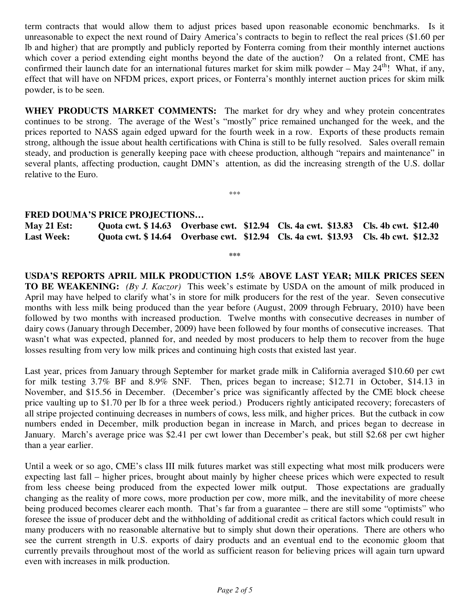term contracts that would allow them to adjust prices based upon reasonable economic benchmarks. Is it unreasonable to expect the next round of Dairy America's contracts to begin to reflect the real prices (\$1.60 per lb and higher) that are promptly and publicly reported by Fonterra coming from their monthly internet auctions which cover a period extending eight months beyond the date of the auction? On a related front, CME has confirmed their launch date for an international futures market for skim milk powder – May  $24<sup>th</sup>$ ! What, if any, effect that will have on NFDM prices, export prices, or Fonterra's monthly internet auction prices for skim milk powder, is to be seen.

**WHEY PRODUCTS MARKET COMMENTS:** The market for dry whey and whey protein concentrates continues to be strong. The average of the West's "mostly" price remained unchanged for the week, and the prices reported to NASS again edged upward for the fourth week in a row. Exports of these products remain strong, although the issue about health certifications with China is still to be fully resolved. Sales overall remain steady, and production is generally keeping pace with cheese production, although "repairs and maintenance" in several plants, affecting production, caught DMN's attention, as did the increasing strength of the U.S. dollar relative to the Euro.

## **FRED DOUMA'S PRICE PROJECTIONS…**

| May 21 Est:       |  | Quota cwt. \$14.63 Overbase cwt. \$12.94 Cls. 4a cwt. \$13.83 Cls. 4b cwt. \$12.40 |                                                                                    |
|-------------------|--|------------------------------------------------------------------------------------|------------------------------------------------------------------------------------|
| <b>Last Week:</b> |  |                                                                                    | Quota cwt. \$14.64 Overbase cwt. \$12.94 Cls. 4a cwt. \$13.93 Cls. 4b cwt. \$12.32 |

**\*\*\*** 

\*\*\*

**USDA'S REPORTS APRIL MILK PRODUCTION 1.5% ABOVE LAST YEAR; MILK PRICES SEEN TO BE WEAKENING:** *(By J. Kaczor)* This week's estimate by USDA on the amount of milk produced in April may have helped to clarify what's in store for milk producers for the rest of the year. Seven consecutive months with less milk being produced than the year before (August, 2009 through February, 2010) have been followed by two months with increased production. Twelve months with consecutive decreases in number of dairy cows (January through December, 2009) have been followed by four months of consecutive increases. That wasn't what was expected, planned for, and needed by most producers to help them to recover from the huge losses resulting from very low milk prices and continuing high costs that existed last year.

Last year, prices from January through September for market grade milk in California averaged \$10.60 per cwt for milk testing 3.7% BF and 8.9% SNF. Then, prices began to increase; \$12.71 in October, \$14.13 in November, and \$15.56 in December. (December's price was significantly affected by the CME block cheese price vaulting up to \$1.70 per lb for a three week period.) Producers rightly anticipated recovery; forecasters of all stripe projected continuing decreases in numbers of cows, less milk, and higher prices. But the cutback in cow numbers ended in December, milk production began in increase in March, and prices began to decrease in January. March's average price was \$2.41 per cwt lower than December's peak, but still \$2.68 per cwt higher than a year earlier.

Until a week or so ago, CME's class III milk futures market was still expecting what most milk producers were expecting last fall – higher prices, brought about mainly by higher cheese prices which were expected to result from less cheese being produced from the expected lower milk output. Those expectations are gradually changing as the reality of more cows, more production per cow, more milk, and the inevitability of more cheese being produced becomes clearer each month. That's far from a guarantee – there are still some "optimists" who foresee the issue of producer debt and the withholding of additional credit as critical factors which could result in many producers with no reasonable alternative but to simply shut down their operations. There are others who see the current strength in U.S. exports of dairy products and an eventual end to the economic gloom that currently prevails throughout most of the world as sufficient reason for believing prices will again turn upward even with increases in milk production.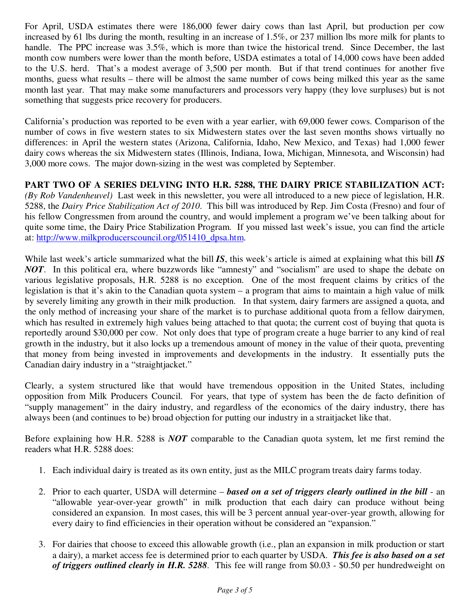For April, USDA estimates there were 186,000 fewer dairy cows than last April, but production per cow increased by 61 lbs during the month, resulting in an increase of 1.5%, or 237 million lbs more milk for plants to handle. The PPC increase was 3.5%, which is more than twice the historical trend. Since December, the last month cow numbers were lower than the month before, USDA estimates a total of 14,000 cows have been added to the U.S. herd. That's a modest average of 3,500 per month. But if that trend continues for another five months, guess what results – there will be almost the same number of cows being milked this year as the same month last year. That may make some manufacturers and processors very happy (they love surpluses) but is not something that suggests price recovery for producers.

California's production was reported to be even with a year earlier, with 69,000 fewer cows. Comparison of the number of cows in five western states to six Midwestern states over the last seven months shows virtually no differences: in April the western states (Arizona, California, Idaho, New Mexico, and Texas) had 1,000 fewer dairy cows whereas the six Midwestern states (Illinois, Indiana, Iowa, Michigan, Minnesota, and Wisconsin) had 3,000 more cows. The major down-sizing in the west was completed by September.

**PART TWO OF A SERIES DELVING INTO H.R. 5288, THE DAIRY PRICE STABILIZATION ACT:**  *(By Rob Vandenheuvel)* Last week in this newsletter, you were all introduced to a new piece of legislation, H.R. 5288, the *Dairy Price Stabilization Act of 2010*. This bill was introduced by Rep. Jim Costa (Fresno) and four of his fellow Congressmen from around the country, and would implement a program we've been talking about for quite some time, the Dairy Price Stabilization Program. If you missed last week's issue, you can find the article at: http://www.milkproducerscouncil.org/051410\_dpsa.htm.

While last week's article summarized what the bill *IS*, this week's article is aimed at explaining what this bill *IS NOT*. In this political era, where buzzwords like "amnesty" and "socialism" are used to shape the debate on various legislative proposals, H.R. 5288 is no exception. One of the most frequent claims by critics of the legislation is that it's akin to the Canadian quota system – a program that aims to maintain a high value of milk by severely limiting any growth in their milk production. In that system, dairy farmers are assigned a quota, and the only method of increasing your share of the market is to purchase additional quota from a fellow dairymen, which has resulted in extremely high values being attached to that quota; the current cost of buying that quota is reportedly around \$30,000 per cow. Not only does that type of program create a huge barrier to any kind of real growth in the industry, but it also locks up a tremendous amount of money in the value of their quota, preventing that money from being invested in improvements and developments in the industry. It essentially puts the Canadian dairy industry in a "straightjacket."

Clearly, a system structured like that would have tremendous opposition in the United States, including opposition from Milk Producers Council. For years, that type of system has been the de facto definition of "supply management" in the dairy industry, and regardless of the economics of the dairy industry, there has always been (and continues to be) broad objection for putting our industry in a straitjacket like that.

Before explaining how H.R. 5288 is *NOT* comparable to the Canadian quota system, let me first remind the readers what H.R. 5288 does:

- 1. Each individual dairy is treated as its own entity, just as the MILC program treats dairy farms today.
- 2. Prior to each quarter, USDA will determine *based on a set of triggers clearly outlined in the bill* an "allowable year-over-year growth" in milk production that each dairy can produce without being considered an expansion. In most cases, this will be 3 percent annual year-over-year growth, allowing for every dairy to find efficiencies in their operation without be considered an "expansion."
- 3. For dairies that choose to exceed this allowable growth (i.e., plan an expansion in milk production or start a dairy), a market access fee is determined prior to each quarter by USDA. *This fee is also based on a set of triggers outlined clearly in H.R. 5288*. This fee will range from \$0.03 - \$0.50 per hundredweight on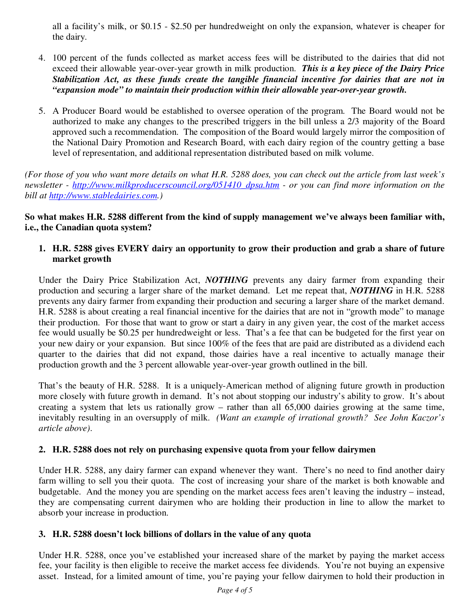all a facility's milk, or \$0.15 - \$2.50 per hundredweight on only the expansion, whatever is cheaper for the dairy.

- 4. 100 percent of the funds collected as market access fees will be distributed to the dairies that did not exceed their allowable year-over-year growth in milk production. *This is a key piece of the Dairy Price Stabilization Act, as these funds create the tangible financial incentive for dairies that are not in "expansion mode" to maintain their production within their allowable year-over-year growth.*
- 5. A Producer Board would be established to oversee operation of the program. The Board would not be authorized to make any changes to the prescribed triggers in the bill unless a 2/3 majority of the Board approved such a recommendation. The composition of the Board would largely mirror the composition of the National Dairy Promotion and Research Board, with each dairy region of the country getting a base level of representation, and additional representation distributed based on milk volume.

*(For those of you who want more details on what H.R. 5288 does, you can check out the article from last week's newsletter - http://www.milkproducerscouncil.org/051410\_dpsa.htm - or you can find more information on the bill at http://www.stabledairies.com.)* 

**So what makes H.R. 5288 different from the kind of supply management we've always been familiar with, i.e., the Canadian quota system?** 

## **1. H.R. 5288 gives EVERY dairy an opportunity to grow their production and grab a share of future market growth**

Under the Dairy Price Stabilization Act, *NOTHING* prevents any dairy farmer from expanding their production and securing a larger share of the market demand. Let me repeat that, *NOTHING* in H.R. 5288 prevents any dairy farmer from expanding their production and securing a larger share of the market demand. H.R. 5288 is about creating a real financial incentive for the dairies that are not in "growth mode" to manage their production. For those that want to grow or start a dairy in any given year, the cost of the market access fee would usually be \$0.25 per hundredweight or less. That's a fee that can be budgeted for the first year on your new dairy or your expansion. But since 100% of the fees that are paid are distributed as a dividend each quarter to the dairies that did not expand, those dairies have a real incentive to actually manage their production growth and the 3 percent allowable year-over-year growth outlined in the bill.

That's the beauty of H.R. 5288. It is a uniquely-American method of aligning future growth in production more closely with future growth in demand. It's not about stopping our industry's ability to grow. It's about creating a system that lets us rationally grow – rather than all 65,000 dairies growing at the same time, inevitably resulting in an oversupply of milk. *(Want an example of irrational growth? See John Kaczor's article above)*.

# **2. H.R. 5288 does not rely on purchasing expensive quota from your fellow dairymen**

Under H.R. 5288, any dairy farmer can expand whenever they want. There's no need to find another dairy farm willing to sell you their quota. The cost of increasing your share of the market is both knowable and budgetable. And the money you are spending on the market access fees aren't leaving the industry – instead, they are compensating current dairymen who are holding their production in line to allow the market to absorb your increase in production.

## **3. H.R. 5288 doesn't lock billions of dollars in the value of any quota**

Under H.R. 5288, once you've established your increased share of the market by paying the market access fee, your facility is then eligible to receive the market access fee dividends. You're not buying an expensive asset. Instead, for a limited amount of time, you're paying your fellow dairymen to hold their production in